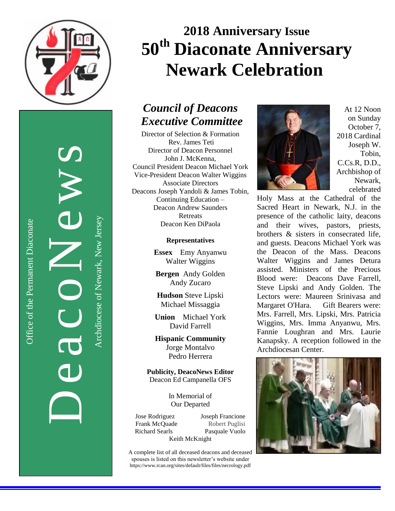

DeacoNews<br>Auchtere of Newslerse

Office of the Permanent Diaconate

Office of the Permanent Diaconate

Archdiocese of Newark, New JerseyArchdiocese of Newark, New Jersey

# **2018 Anniversary Issue 50th Diaconate Anniversary Newark Celebration**

## *Council of Deacons Executive Committee*

Director of Selection & Formation Rev. James Teti Director of Deacon Personnel John J. McKenna, Council President Deacon Michael York Vice-President Deacon Walter Wiggins Associate Directors Deacons Joseph Yandoli & James Tobin, Continuing Education – Deacon Andrew Saunders Retreats Deacon Ken DiPaola

#### **Representatives**

**Essex** Emy Anyanwu Walter Wiggins

**Bergen** Andy Golden Andy Zucaro

**Hudson** Steve Lipski Michael Missaggia

**Union** Michael York David Farrell

**Hispanic Community** Jorge Montalvo Pedro Herrera

**Publicity, DeacoNews Editor** Deacon Ed Campanella OFS

> In Memorial of Our Departed

Jose Rodriguez Joseph Francione Frank McQuade Robert Puglisi Richard Searls Pasquale Vuolo Keith McKnight

A complete list of all deceased deacons and deceased spouses is listed on this newsletter's website under https://www.rcan.org/sites/default/files/files/necrology.pdf



At 12 Noon on Sunday October 7, 2018 Cardinal Joseph W. Tobin, C.Cs.R, D.D., Archbishop of Newark, celebrated

Holy Mass at the Cathedral of the Sacred Heart in Newark, N.J. in the presence of the catholic laity, deacons and their wives, pastors, priests, brothers & sisters in consecrated life, and guests. Deacons Michael York was the Deacon of the Mass. Deacons Walter Wiggins and James Detura assisted. Ministers of the Precious Blood were: Deacons Dave Farrell, Steve Lipski and Andy Golden. The Lectors were: Maureen Srinivasa and Margaret O'Hara. Gift Bearers were: Mrs. Farrell, Mrs. Lipski, Mrs. Patricia Wiggins, Mrs. Imma Anyanwu, Mrs. Fannie Loughran and Mrs. Laurie Kanapsky. A reception followed in the Archdiocesan Center.

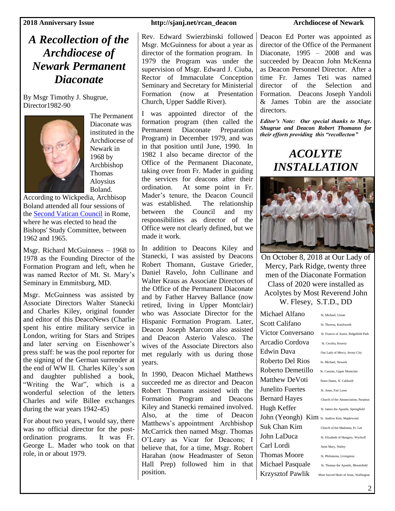## *A Recollection of the Archdiocese of Newark Permanent Diaconate*

By Msgr Timothy J. Shugrue, Director1982-90



The Permanent Diaconate was instituted in the Archdiocese of Newark in 1968 by Archbishop Thomas Aloysius Boland.

According to Wickpedia, Archbisop Boland attended all four sessions of the [Second Vatican Council](https://en.wikipedia.org/wiki/Second_Vatican_Council) in Rome, where he was elected to head the Bishops' Study Committee, between 1962 and 1965.

Msgr. Richard McGuinness – 1968 to 1978 as the Founding Director of the Formation Program and left, when he was named Rector of Mt. St. Mary's Seminary in Emmitsburg, MD.

Msgr. McGuinness was assisted by Associate Directors Walter Stanecki and Charles Kiley, original founder and editor of this DeacoNews (Charlie spent his entire military service in London, writing for Stars and Stripes and later serving on Eisenhower's press staff: he was the pool reporter for the signing of the German surrender at the end of WW II. Charles Kiley's son and daughter published a book, "Writing the War", which is a wonderful selection of the letters Charles and wife Billee exchanges during the war years 1942-45)

For about two years, I would say, there was no official director for the postordination programs. It was Fr. George L. Mader who took on that role, in or about 1979.

### **2018 Anniversary Issue http://sjanj.net/rcan\_deacon Archdiocese of Newark**

Rev. Edward Swierzbinski followed Msgr. McGuinness for about a year as director of the formation program. In 1979 the Program was under the supervision of Msgr. Edward J. Ciuba, Rector of Immaculate Conception Seminary and Secretary for Ministerial Formation (now at Presentation Church, Upper Saddle River).

I was appointed director of the formation program (then called the Permanent Diaconate Preparation Program) in December 1979, and was in that position until June, 1990. In 1982 I also became director of the Office of the Permanent Diaconate, taking over from Fr. Mader in guiding the services for deacons after their ordination. At some point in Fr. Mader's tenure, the Deacon Council was established. The relationship between the Council and my responsibilities as director of the Office were not clearly defined, but we made it work.

In addition to Deacons Kiley and Stanecki, I was assisted by Deacons Robert Thomann, Gustave Grieder, Daniel Ravelo, John Cullinane and Walter Kraus as Associate Directors of the Office of the Permanent Diaconate and by Father Harvey Ballance (now retired, living in Upper Montclair) who was Associate Director for the Hispanic Formation Program. Later, Deacon Joseph Marcom also assisted and Deacon Asterio Valesco. The wives of the Associate Directors also met regularly with us during those years.

In 1990, Deacon Michael Matthews succeeded me as director and Deacon Robert Thomann assisted with the Formation Program and Deacons Kiley and Stanecki remained involved. Also, at the time of Deacon Matthews's appointment Archbishop McCarrick then named Msgr. Thomas O'Leary as Vicar for Deacons; I believe that, for a time, Msgr. Robert Harahan (now Headmaster of Seton Hall Prep) followed him in that position.

Deacon Ed Porter was appointed as director of the Office of the Permanent Diaconate,  $1995 - 2008$  and was succeeded by Deacon John McKenna as Deacon Personnel Director. After a time Fr. James Teti was named director of the Selection and Formation. Deacons Joseph Yandoli & James Tobin are the associate directors.

*Editor's Note: Our special thanks to Msgr. Shugrue and Deacon Robert Thomann for their efforts providing this "recollecton"*

> *ACOLYTE INSTALLATION*



On October 8, 2018 at Our Lady of Mercy, Park Ridge, twenty three men of the Diaconate Formation Class of 2020 were installed as Acolytes by Most Reverend John W. Flesey, S.T.D., DD

| Michael Alfano                                                                                | St. Michael, Union                     |
|-----------------------------------------------------------------------------------------------|----------------------------------------|
| Scott Califano                                                                                | St. Theresa, Kenilworth                |
| <b>Victor Conversano</b>                                                                      | St. Francis of Assisi, Ridgefield Park |
| Arcadio Cordova                                                                               | St. Cecelia, Kearny                    |
| Edwin Dava                                                                                    | Our Lady of Mercy, Jersey City         |
| Roberto Del Rios                                                                              | St. Michael, Newark                    |
| Roberto Demetillo                                                                             | St. Cassian, Upper Montclair           |
| Matthew DeVoti                                                                                | Notre Dame, N. Caldwell                |
| Junelito Fuertes                                                                              | St. Anne, Fair Lawn                    |
| <b>Bernard Hayes</b>                                                                          | Church of the Annunciation, Paramus    |
| Hugh Keffer                                                                                   | St. James the Apostle, Springfield     |
| $\mathrm{John}\ (\mathrm{Ycongh})\ \ \mathrm{Kim}\ \mathrm{_{St.\ An drew\ Kim,\ Maplewood}}$ |                                        |
| Suk Chan Kim                                                                                  | Church of the Madonna, Ft. Lee         |
| John LaDuca                                                                                   | St. Elizabeth of Hungary, Wyckoff      |
| Carl Lordi                                                                                    | Saint Mary, Nutley                     |
| Thomas Moore                                                                                  | St. Philomena, Livingston              |
| Michael Pasquale                                                                              | St. Thomas the Apostle, Bloomfield     |
| Krzysztof Pawlik                                                                              | Most Sacred Heart of Jesus, Wallington |
|                                                                                               |                                        |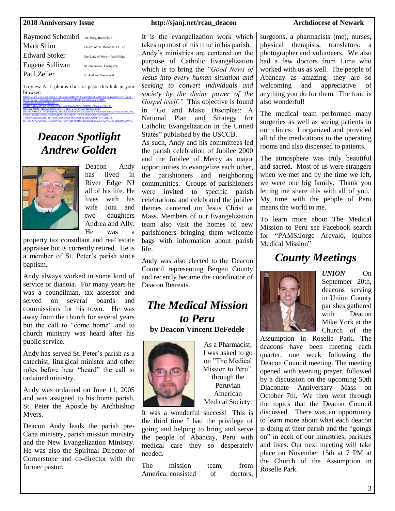| Raymond Schembri | St. Mary, Rutherford           |
|------------------|--------------------------------|
| Mark Shim        | Church of the Madonna, Ft. Lee |
| Edward Stoker    | Our Lady of Mercy, Park Ridge  |
| Eugene Sullivan  | St. Philomena, Livingston      |
| Paul Zeller      | St. Andrew. Westwood           |
|                  |                                |

To view ALL photos click or paste this link in your browser: [https://secure-web.cisco.com/1-yT36DzhmF8ZDC7Vfl9jdbQcdNngT-7dZ8KEb7uiqgXHR6rDrvRMK2\\_-](https://secure-web.cisco.com/1-yT36DzhmF8ZDC7Vfl9jdbQcdNngT-7dZ8KEb7uiqgXHR6rDrvRMK2_-Q3J3HKgLr21HbAWaMbiHitAb58-Je6QmRqFejMbT7SrwxyK3oolYfufdMS-XOPHAoJHJudzFidWnlongpYH-6kpfM4QRZDsBVgA_3N4PuDzvh3JOgt5TNZtuwmAN789B4r1_r88ZVxwOkE7m-HxcemujZNDkTnDyw2p9PNU4qtlTDQYLO_27bBpn4IZVgBrnHVnHm-wPTsIn36MULA1fEr0Pc8QV4IG4IZTxJkFtIEhoTuBO5bG11b1bSVAI6mEy0s5sRygY/https%3A%2F%2Fphotos.google.com%2Fshare%2FAF1QipOpEoYOLvfoIO96gmUJpMFyurhqfh8l7H-Tz9kpPUmz6BqQq4Rl-QYii8aF3x9eCw%2Fphoto%2FAF1QipO2N4P7wiNVHEUm-h6i1SMA3KDGMRe5OE0qnQV1%3Fkey%3DQ3dBM3dyNlZDckxSX25VS2NvaGZTMld0RmlycW5R)

[wPTsIn36MULA1fEr0Pc8QV4IG4IZTxJkFtIEhoTuBO5bG11b1bSVAI6mEy0s5sRygY/https%3A%2F%2](https://secure-web.cisco.com/1-yT36DzhmF8ZDC7Vfl9jdbQcdNngT-7dZ8KEb7uiqgXHR6rDrvRMK2_-Q3J3HKgLr21HbAWaMbiHitAb58-Je6QmRqFejMbT7SrwxyK3oolYfufdMS-XOPHAoJHJudzFidWnlongpYH-6kpfM4QRZDsBVgA_3N4PuDzvh3JOgt5TNZtuwmAN789B4r1_r88ZVxwOkE7m-HxcemujZNDkTnDyw2p9PNU4qtlTDQYLO_27bBpn4IZVgBrnHVnHm-wPTsIn36MULA1fEr0Pc8QV4IG4IZTxJkFtIEhoTuBO5bG11b1bSVAI6mEy0s5sRygY/https%3A%2F%2Fphotos.google.com%2Fshare%2FAF1QipOpEoYOLvfoIO96gmUJpMFyurhqfh8l7H-Tz9kpPUmz6BqQq4Rl-QYii8aF3x9eCw%2Fphoto%2FAF1QipO2N4P7wiNVHEUm-h6i1SMA3KDGMRe5OE0qnQV1%3Fkey%3DQ3dBM3dyNlZDckxSX25VS2NvaGZTMld0RmlycW5R) [Fphotos.google.com%2Fshare%2FAF1QipOpEoYOLvfoIO96gmUJpMFyurhqfh8l7H-](https://secure-web.cisco.com/1-yT36DzhmF8ZDC7Vfl9jdbQcdNngT-7dZ8KEb7uiqgXHR6rDrvRMK2_-Q3J3HKgLr21HbAWaMbiHitAb58-Je6QmRqFejMbT7SrwxyK3oolYfufdMS-XOPHAoJHJudzFidWnlongpYH-6kpfM4QRZDsBVgA_3N4PuDzvh3JOgt5TNZtuwmAN789B4r1_r88ZVxwOkE7m-HxcemujZNDkTnDyw2p9PNU4qtlTDQYLO_27bBpn4IZVgBrnHVnHm-wPTsIn36MULA1fEr0Pc8QV4IG4IZTxJkFtIEhoTuBO5bG11b1bSVAI6mEy0s5sRygY/https%3A%2F%2Fphotos.google.com%2Fshare%2FAF1QipOpEoYOLvfoIO96gmUJpMFyurhqfh8l7H-Tz9kpPUmz6BqQq4Rl-QYii8aF3x9eCw%2Fphoto%2FAF1QipO2N4P7wiNVHEUm-h6i1SMA3KDGMRe5OE0qnQV1%3Fkey%3DQ3dBM3dyNlZDckxSX25VS2NvaGZTMld0RmlycW5R)[Tz9kpPUmz6BqQq4Rl-QYii8aF3x9eCw%2Fphoto%2FAF1QipO2N4P7wiNVHEUm](https://secure-web.cisco.com/1-yT36DzhmF8ZDC7Vfl9jdbQcdNngT-7dZ8KEb7uiqgXHR6rDrvRMK2_-Q3J3HKgLr21HbAWaMbiHitAb58-Je6QmRqFejMbT7SrwxyK3oolYfufdMS-XOPHAoJHJudzFidWnlongpYH-6kpfM4QRZDsBVgA_3N4PuDzvh3JOgt5TNZtuwmAN789B4r1_r88ZVxwOkE7m-HxcemujZNDkTnDyw2p9PNU4qtlTDQYLO_27bBpn4IZVgBrnHVnHm-wPTsIn36MULA1fEr0Pc8QV4IG4IZTxJkFtIEhoTuBO5bG11b1bSVAI6mEy0s5sRygY/https%3A%2F%2Fphotos.google.com%2Fshare%2FAF1QipOpEoYOLvfoIO96gmUJpMFyurhqfh8l7H-Tz9kpPUmz6BqQq4Rl-QYii8aF3x9eCw%2Fphoto%2FAF1QipO2N4P7wiNVHEUm-h6i1SMA3KDGMRe5OE0qnQV1%3Fkey%3DQ3dBM3dyNlZDckxSX25VS2NvaGZTMld0RmlycW5R)[h6i1SMA3KDGMRe5OE0qnQV1%3Fkey%3DQ3dBM3dyNlZDckxSX25VS2NvaGZTMld0RmlycW5R](https://secure-web.cisco.com/1-yT36DzhmF8ZDC7Vfl9jdbQcdNngT-7dZ8KEb7uiqgXHR6rDrvRMK2_-Q3J3HKgLr21HbAWaMbiHitAb58-Je6QmRqFejMbT7SrwxyK3oolYfufdMS-XOPHAoJHJudzFidWnlongpYH-6kpfM4QRZDsBVgA_3N4PuDzvh3JOgt5TNZtuwmAN789B4r1_r88ZVxwOkE7m-HxcemujZNDkTnDyw2p9PNU4qtlTDQYLO_27bBpn4IZVgBrnHVnHm-wPTsIn36MULA1fEr0Pc8QV4IG4IZTxJkFtIEhoTuBO5bG11b1bSVAI6mEy0s5sRygY/https%3A%2F%2Fphotos.google.com%2Fshare%2FAF1QipOpEoYOLvfoIO96gmUJpMFyurhqfh8l7H-Tz9kpPUmz6BqQq4Rl-QYii8aF3x9eCw%2Fphoto%2FAF1QipO2N4P7wiNVHEUm-h6i1SMA3KDGMRe5OE0qnQV1%3Fkey%3DQ3dBM3dyNlZDckxSX25VS2NvaGZTMld0RmlycW5R)

[Q3J3HKgLr21HbAWaMbiHitAb58-Je6QmRqFejMbT7SrwxyK3oolYfufdMS-](https://secure-web.cisco.com/1-yT36DzhmF8ZDC7Vfl9jdbQcdNngT-7dZ8KEb7uiqgXHR6rDrvRMK2_-Q3J3HKgLr21HbAWaMbiHitAb58-Je6QmRqFejMbT7SrwxyK3oolYfufdMS-XOPHAoJHJudzFidWnlongpYH-6kpfM4QRZDsBVgA_3N4PuDzvh3JOgt5TNZtuwmAN789B4r1_r88ZVxwOkE7m-HxcemujZNDkTnDyw2p9PNU4qtlTDQYLO_27bBpn4IZVgBrnHVnHm-wPTsIn36MULA1fEr0Pc8QV4IG4IZTxJkFtIEhoTuBO5bG11b1bSVAI6mEy0s5sRygY/https%3A%2F%2Fphotos.google.com%2Fshare%2FAF1QipOpEoYOLvfoIO96gmUJpMFyurhqfh8l7H-Tz9kpPUmz6BqQq4Rl-QYii8aF3x9eCw%2Fphoto%2FAF1QipO2N4P7wiNVHEUm-h6i1SMA3KDGMRe5OE0qnQV1%3Fkey%3DQ3dBM3dyNlZDckxSX25VS2NvaGZTMld0RmlycW5R)

[6kpfM4QRZDsBVgA\\_3N4PuDzvh3JOgt5TNZtuwmAN789B4r1\\_r88ZVxwOkE7m-](https://secure-web.cisco.com/1-yT36DzhmF8ZDC7Vfl9jdbQcdNngT-7dZ8KEb7uiqgXHR6rDrvRMK2_-Q3J3HKgLr21HbAWaMbiHitAb58-Je6QmRqFejMbT7SrwxyK3oolYfufdMS-XOPHAoJHJudzFidWnlongpYH-6kpfM4QRZDsBVgA_3N4PuDzvh3JOgt5TNZtuwmAN789B4r1_r88ZVxwOkE7m-HxcemujZNDkTnDyw2p9PNU4qtlTDQYLO_27bBpn4IZVgBrnHVnHm-wPTsIn36MULA1fEr0Pc8QV4IG4IZTxJkFtIEhoTuBO5bG11b1bSVAI6mEy0s5sRygY/https%3A%2F%2Fphotos.google.com%2Fshare%2FAF1QipOpEoYOLvfoIO96gmUJpMFyurhqfh8l7H-Tz9kpPUmz6BqQq4Rl-QYii8aF3x9eCw%2Fphoto%2FAF1QipO2N4P7wiNVHEUm-h6i1SMA3KDGMRe5OE0qnQV1%3Fkey%3DQ3dBM3dyNlZDckxSX25VS2NvaGZTMld0RmlycW5R)[HxcemujZNDkTnDyw2p9PNU4qtlTDQYLO\\_27bBpn4IZVgBrnHVnHm-](https://secure-web.cisco.com/1-yT36DzhmF8ZDC7Vfl9jdbQcdNngT-7dZ8KEb7uiqgXHR6rDrvRMK2_-Q3J3HKgLr21HbAWaMbiHitAb58-Je6QmRqFejMbT7SrwxyK3oolYfufdMS-XOPHAoJHJudzFidWnlongpYH-6kpfM4QRZDsBVgA_3N4PuDzvh3JOgt5TNZtuwmAN789B4r1_r88ZVxwOkE7m-HxcemujZNDkTnDyw2p9PNU4qtlTDQYLO_27bBpn4IZVgBrnHVnHm-wPTsIn36MULA1fEr0Pc8QV4IG4IZTxJkFtIEhoTuBO5bG11b1bSVAI6mEy0s5sRygY/https%3A%2F%2Fphotos.google.com%2Fshare%2FAF1QipOpEoYOLvfoIO96gmUJpMFyurhqfh8l7H-Tz9kpPUmz6BqQq4Rl-QYii8aF3x9eCw%2Fphoto%2FAF1QipO2N4P7wiNVHEUm-h6i1SMA3KDGMRe5OE0qnQV1%3Fkey%3DQ3dBM3dyNlZDckxSX25VS2NvaGZTMld0RmlycW5R)

[XOPHAoJHJudzFidWnlongpYH-](https://secure-web.cisco.com/1-yT36DzhmF8ZDC7Vfl9jdbQcdNngT-7dZ8KEb7uiqgXHR6rDrvRMK2_-Q3J3HKgLr21HbAWaMbiHitAb58-Je6QmRqFejMbT7SrwxyK3oolYfufdMS-XOPHAoJHJudzFidWnlongpYH-6kpfM4QRZDsBVgA_3N4PuDzvh3JOgt5TNZtuwmAN789B4r1_r88ZVxwOkE7m-HxcemujZNDkTnDyw2p9PNU4qtlTDQYLO_27bBpn4IZVgBrnHVnHm-wPTsIn36MULA1fEr0Pc8QV4IG4IZTxJkFtIEhoTuBO5bG11b1bSVAI6mEy0s5sRygY/https%3A%2F%2Fphotos.google.com%2Fshare%2FAF1QipOpEoYOLvfoIO96gmUJpMFyurhqfh8l7H-Tz9kpPUmz6BqQq4Rl-QYii8aF3x9eCw%2Fphoto%2FAF1QipO2N4P7wiNVHEUm-h6i1SMA3KDGMRe5OE0qnQV1%3Fkey%3DQ3dBM3dyNlZDckxSX25VS2NvaGZTMld0RmlycW5R)

## *Deacon Spotlight Andrew Golden*



Deacon Andy has lived in River Edge NJ all of his life. He lives with his wife Joni and two daughters Andrea and Ally. He was a

property tax consultant and real estate appraiser but is currently retired. He is a member of St. Peter's parish since baptism.

Andy always worked in some kind of service or dianoia. For many years he was a councilman, tax assessor and served on several boards and commissions for his town. He was away from the church for several years but the call to "come home" and to church ministry was heard after his public service.

Andy has served St. Peter's parish as a catechist, liturgical minister and other roles before hear "heard" the call to ordained ministry.

Andy was ordained on June 11, 2005 and was assigned to his home parish, St. Peter the Apostle by Archbishop Myers.

Deacon Andy leads the parish pre-Cana ministry, parish mission ministry and the New Evangelization Ministry. He was also the Spiritual Director of Cornerstone and co-director with the former pastor.

#### **2018 Anniversary Issue http://sjanj.net/rcan\_deacon Archdiocese of Newark**

It is the evangelization work which takes up most of his time in his parish. Andy's ministries are centered on the purpose of Catholic Evangelization which is to bring the *"Good News of Jesus into every human situation and seeking to convert individuals and society by the divine power of the Gospel itself."* This objective is found in "Go and Make Disciples:: A National Plan and Strategy for Catholic Evangelization in the United States" published by the USCCB.

As such, Andy and his committees led the parish celebration of Jubilee 2000 and the Jubilee of Mercy as major opportunities to evangelize each other, the parishioners and neighboring communities. Groups of parishioners were invited to specific parish celebrations and celebrated the jubilee themes centered on Jesus Christ at Mass. Members of our Evangelization team also visit the homes of new parishioners bringing them welcome bags with information about parish life.

Andy was also elected to the Deacon Council representing Bergen County and recently became the coordinator of Deacon Retreats.

## *The Medical Mission to Peru*

**by Deacon Vincent DeFedele**



As a Pharmacist, I was asked to go on "The Medical Mission to Peru", through the Peruvian American Medical Society.

It was a wonderful success! This is the third time I had the privilege of going and helping to bring and serve the people of Abancay, Peru with medical care they so desperately needed.

The mission team, from America, consisted of doctors,

surgeons, a pharmacists (me), nurses, physical therapists, translators. a photographer and volunteers. We also had a few doctors from Lima who worked with us as well. The people of Abancay as amazing, they are so welcoming and appreciative of anything you do for them. The food is also wonderful!

The medical team performed many surgeries as well as seeing patients in our clinics. I organized and provided all of the medications to the operating rooms and also dispensed to patients.

The atmosphere was truly beautiful and sacred. Most of us were strangers when we met and by the time we left, we were one big family. Thank you letting me share this with all of you. My time with the people of Peru means the world to me.

To learn more about The Medical Mission to Peru see Facebook search for "PAMS/Jorge Arevalo, Iquitos Medical Mission"

### *County Meetings*



*UNION* On September 20th. deacons serving in Union County parishes gathered with Deacon Mike York at the Church of the

Assumption in Roselle Park. The deacons have been meeting each quarter, one week following the Deacon Council meeting. The meeting opened with evening prayer, followed by a discussion on the upcoming 50th Diaconate Anniversary Mass on October 7th. We then went through the topics that the Deacon Council discussed. There was an opportunity to learn more about what each deacon is doing at their parish and the "goings on" in each of our ministries, parishes and lives. Our next meeting will take place on November 15th at 7 PM at the Church of the Assumption in Roselle Park.

3